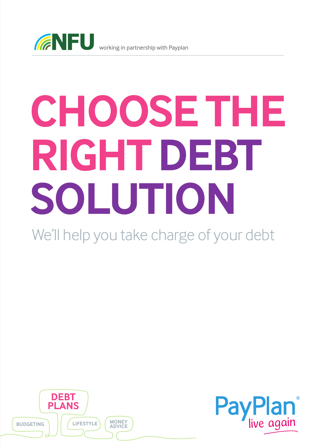

# **CHOOSE THE RIGHT DEBT SOLUTION**

We'll help you take charge of your debt



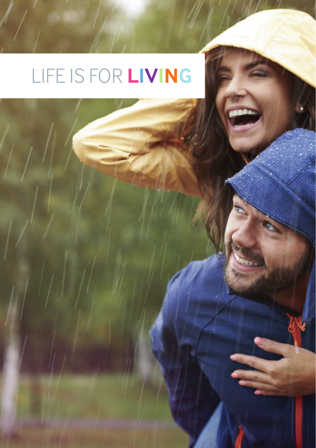## LIFE IS FOR **LIVING**

a<br>S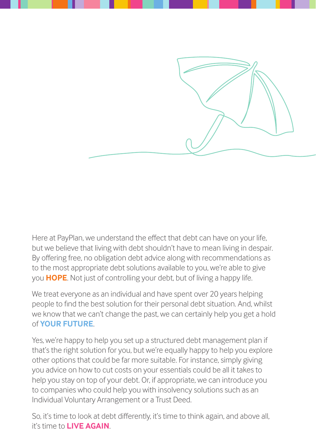

Here at PayPlan, we understand the effect that debt can have on your life, but we believe that living with debt shouldn't have to mean living in despair. By offering free, no obligation debt advice along with recommendations as to the most appropriate debt solutions available to you, we're able to give you **HOPE**. Not just of controlling your debt, but of living a happy life.

We treat everyone as an individual and have spent over 20 years helping people to find the best solution for their personal debt situation. And, whilst we know that we can't change the past, we can certainly help you get a hold of **YOUR FUTURE**.

Yes, we're happy to help you set up a structured debt management plan if that's the right solution for you, but we're equally happy to help you explore other options that could be far more suitable. For instance, simply giving you advice on how to cut costs on your essentials could be all it takes to help you stay on top of your debt. Or, if appropriate, we can introduce you to companies who could help you with insolvency solutions such as an Individual Voluntary Arrangement or a Trust Deed.

So, it's time to look at debt differently, it's time to think again, and above all, it's time to **LIVE AGAIN**.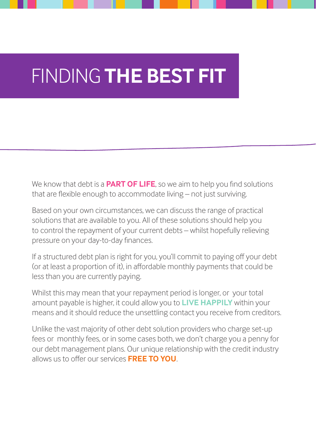### FINDING **THE BEST FIT**

We know that debt is a **PART OF LIFE**, so we aim to help you find solutions that are flexible enough to accommodate living – not just surviving.

Based on your own circumstances, we can discuss the range of practical solutions that are available to you. All of these solutions should help you to control the repayment of your current debts – whilst hopefully relieving pressure on your day-to-day finances.

If a structured debt plan is right for you, you'll commit to paying off your debt (or at least a proportion of it), in affordable monthly payments that could be less than you are currently paying.

Whilst this may mean that your repayment period is longer, or your total amount payable is higher, it could allow you to **LIVE HAPPILY** within your means and it should reduce the unsettling contact you receive from creditors.

Unlike the vast majority of other debt solution providers who charge set-up fees or monthly fees, or in some cases both, we don't charge you a penny for our debt management plans. Our unique relationship with the credit industry allows us to offer our services **FREE TO YOU**.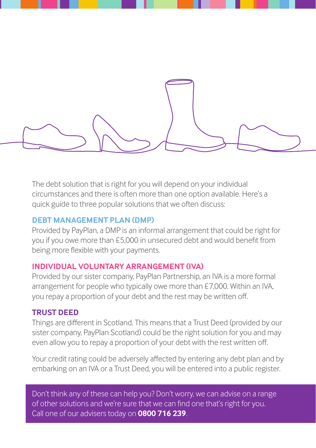

The debt solution that is right for you will depend on your individual circumstances and there is often more than one option available. Here's a quick guide to three popular solutions that we often discuss:

#### **DEBT MANAGEMENT PLAN (DMP)**

Provided by PayPlan, a DMP is an informal arrangement that could be right for you if you owe more than £5,000 in unsecured debt and would benefit from being more flexible with your payments.

#### **INDIVIDUAL VOLUNTARY ARRANGEMENT (IVA)**

Provided by our sister company, PayPlan Partnership, an IVA is a more formal arrangement for people who typically owe more than £7,000. Within an IVA, you repay a proportion of your debt and the rest may be written off.

#### **TRUST DEED**

Things are different in Scotland. This means that a Trust Deed (provided by our sister company, PayPlan Scotland) could be the right solution for you and may even allow you to repay a proportion of your debt with the rest written off.

Your credit rating could be adversely affected by entering any debt plan and by embarking on an IVA or a Trust Deed, you will be entered into a public register.

Don't think any of these can help you? Don't worry, we can advise on a range of other solutions and we're sure that we can find one that's right for you. Call one of our advisers today on **0800 716 239**.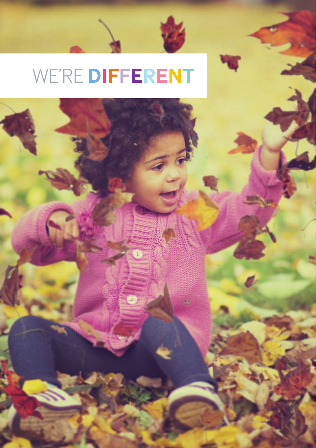### WE'RE **DIFFERENT**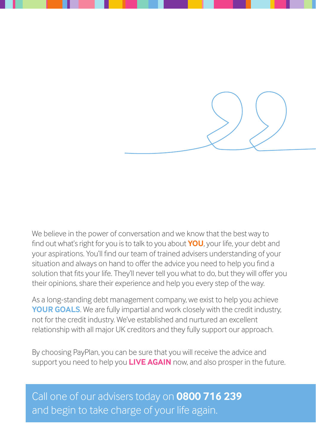

We believe in the power of conversation and we know that the best way to find out what's right for you is to talk to you about **YOU**, your life, your debt and your aspirations. You'll find our team of trained advisers understanding of your situation and always on hand to offer the advice you need to help you find a solution that fits your life. They'll never tell you what to do, but they will offer you their opinions, share their experience and help you every step of the way.

As a long-standing debt management company, we exist to help you achieve **YOUR GOALS**. We are fully impartial and work closely with the credit industry, not for the credit industry. We've established and nurtured an excellent relationship with all major UK creditors and they fully support our approach.

By choosing PayPlan, you can be sure that you will receive the advice and support you need to help you **LIVE AGAIN** now, and also prosper in the future.

Call one of our advisers today on **0800 716 239** and begin to take charge of your life again.